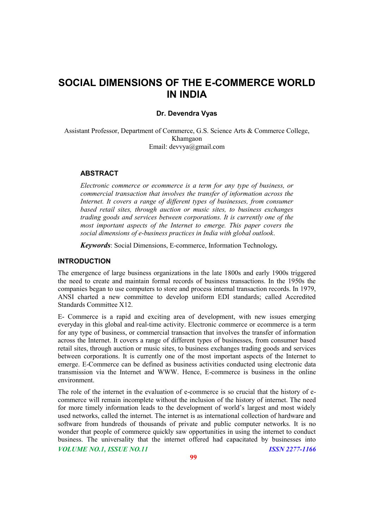# **SOCIAL DIMENSIONS OF THE E-COMMERCE WORLD IN INDIA**

# **Dr. Devendra Vyas**

Assistant Professor, Department of Commerce, G.S. Science Arts & Commerce College, Khamgaon Email: devvya@gmail.com

# **ABSTRACT**

*Electronic commerce or ecommerce is a term for any type of business, or commercial transaction that involves the transfer of information across the Internet. It covers a range of different types of businesses, from consumer based retail sites, through auction or music sites, to business exchanges trading goods and services between corporations. It is currently one of the most important aspects of the Internet to emerge. This paper covers the social dimensions of e-business practices in India with global outlook*.

*Keywords*: Social Dimensions, E-commerce, Information Technology*.*

# **INTRODUCTION**

The emergence of large business organizations in the late 1800s and early 1900s triggered the need to create and maintain formal records of business transactions. In the 1950s the companies began to use computers to store and process internal transaction records. In 1979, ANSI charted a new committee to develop uniform EDI standards; called Accredited Standards Committee X12.

E- Commerce is a rapid and exciting area of development, with new issues emerging everyday in this global and real-time activity. Electronic commerce or ecommerce is a term for any type of business, or commercial transaction that involves the transfer of information across the Internet. It covers a range of different types of businesses, from consumer based retail sites, through auction or music sites, to business exchanges trading goods and services between corporations. It is currently one of the most important aspects of the Internet to emerge. E-Commerce can be defined as business activities conducted using electronic data transmission via the Internet and WWW. Hence, E-commerce is business in the online environment.

*VOLUME NO.1, ISSUE NO.11 ISSN 2277-1166* The role of the internet in the evaluation of e-commerce is so crucial that the history of ecommerce will remain incomplete without the inclusion of the history of internet. The need for more timely information leads to the development of world's largest and most widely used networks, called the internet. The internet is as international collection of hardware and software from hundreds of thousands of private and public computer networks. It is no wonder that people of commerce quickly saw opportunities in using the internet to conduct business. The universality that the internet offered had capacitated by businesses into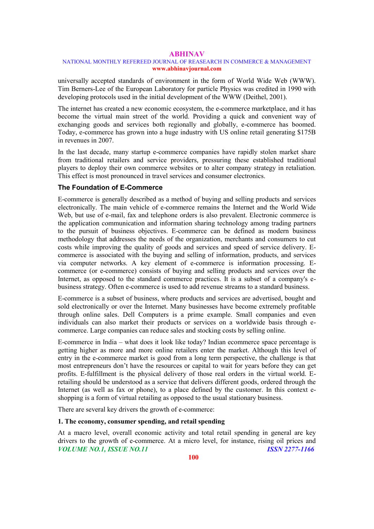#### NATIONAL MONTHLY REFEREED JOURNAL OF REASEARCH IN COMMERCE & MANAGEMENT **www.abhinavjournal.com**

universally accepted standards of environment in the form of World Wide Web (WWW). Tim Berners-Lee of the European Laboratory for particle Physics was credited in 1990 with developing protocols used in the initial development of the WWW (Deithel, 2001).

The internet has created a new economic ecosystem, the e-commerce marketplace, and it has become the virtual main street of the world. Providing a quick and convenient way of exchanging goods and services both regionally and globally, e-commerce has boomed. Today, e-commerce has grown into a huge industry with US online retail generating \$175B in revenues in 2007.

In the last decade, many startup e-commerce companies have rapidly stolen market share from traditional retailers and service providers, pressuring these established traditional players to deploy their own commerce websites or to alter company strategy in retaliation. This effect is most pronounced in travel services and consumer electronics.

# **The Foundation of E-Commerce**

E-commerce is generally described as a method of buying and selling products and services electronically. The main vehicle of e-commerce remains the Internet and the World Wide Web, but use of e-mail, fax and telephone orders is also prevalent. Electronic commerce is the application communication and information sharing technology among trading partners to the pursuit of business objectives. E-commerce can be defined as modern business methodology that addresses the needs of the organization, merchants and consumers to cut costs while improving the quality of goods and services and speed of service delivery. Ecommerce is associated with the buying and selling of information, products, and services via computer networks. A key element of e-commerce is information processing. Ecommerce (or e-commerce) consists of buying and selling products and services over the Internet, as opposed to the standard commerce practices. It is a subset of a company's ebusiness strategy. Often e-commerce is used to add revenue streams to a standard business.

E-commerce is a subset of business, where products and services are advertised, bought and sold electronically or over the Internet. Many businesses have become extremely profitable through online sales. Dell Computers is a prime example. Small companies and even individuals can also market their products or services on a worldwide basis through ecommerce. Large companies can reduce sales and stocking costs by selling online.

E-commerce in India – what does it look like today? Indian ecommerce space percentage is getting higher as more and more online retailers enter the market. Although this level of entry in the e-commerce market is good from a long term perspective, the challenge is that most entrepreneurs don't have the resources or capital to wait for years before they can get profits. E-fulfillment is the physical delivery of those real orders in the virtual world. Eretailing should be understood as a service that delivers different goods, ordered through the Internet (as well as fax or phone), to a place defined by the customer. In this context eshopping is a form of virtual retailing as opposed to the usual stationary business.

There are several key drivers the growth of e-commerce:

# **1. The economy, consumer spending, and retail spending**

*VOLUME NO.1, ISSUE NO.11 ISSN 2277-1166* At a macro level, overall economic activity and total retail spending in general are key drivers to the growth of e-commerce. At a micro level, for instance, rising oil prices and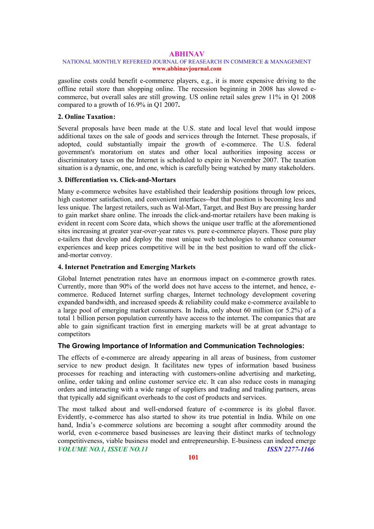#### NATIONAL MONTHLY REFEREED JOURNAL OF REASEARCH IN COMMERCE & MANAGEMENT **www.abhinavjournal.com**

gasoline costs could benefit e-commerce players, e.g., it is more expensive driving to the offline retail store than shopping online. The recession beginning in 2008 has slowed ecommerce, but overall sales are still growing. US online retail sales grew 11% in Q1 2008 compared to a growth of 16.9% in Q1 2007**.** 

#### **2. Online Taxation:**

Several proposals have been made at the U.S. state and local level that would impose additional taxes on the sale of goods and services through the Internet. These proposals, if adopted, could substantially impair the growth of e-commerce. The U.S. federal government's moratorium on states and other local authorities imposing access or discriminatory taxes on the Internet is scheduled to expire in November 2007. The taxation situation is a dynamic, one, and one, which is carefully being watched by many stakeholders.

#### **3***.* **Differentiation vs. Click-and-Mortars**

Many e-commerce websites have established their leadership positions through low prices, high customer satisfaction, and convenient interfaces--but that position is becoming less and less unique. The largest retailers, such as Wal-Mart, Target, and Best Buy are pressing harder to gain market share online. The inroads the click-and-mortar retailers have been making is evident in recent com Score data, which shows the unique user traffic at the aforementioned sites increasing at greater year-over-year rates vs. pure e-commerce players. Those pure play e-tailers that develop and deploy the most unique web technologies to enhance consumer experiences and keep prices competitive will be in the best position to ward off the clickand-mortar convoy.

## **4. Internet Penetration and [Emerging Markets](http://www.wikinvest.com/wiki/Emerging_Markets)**

Global Internet penetration rates have an enormous impact on e-commerce growth rates. Currently, more than 90% of the world does not have access to the internet, and hence, ecommerce. Reduced Internet surfing charges, Internet technology development covering expanded bandwidth, and increased speeds & reliability could make e-commerce available to a large pool of emerging market consumers. In India, only about 60 million (or 5.2%) of a total 1 billion person population currently have access to the internet. The companies that are able to gain significant traction first in emerging markets will be at great advantage to competitors

## **The Growing Importance of Information and Communication Technologies:**

The effects of e-commerce are already appearing in all areas of business, from customer service to new product design. It facilitates new types of information based business processes for reaching and interacting with customers-online advertising and marketing, online, order taking and online customer service etc. It can also reduce costs in managing orders and interacting with a wide range of suppliers and trading and trading partners, areas that typically add significant overheads to the cost of products and services.

*VOLUME NO.1, ISSUE NO.11 ISSN 2277-1166* The most talked about and well-endorsed feature of e-commerce is its global flavor. Evidently, e-commerce has also started to show its true potential in India. While on one hand, India's e-commerce solutions are becoming a sought after commodity around the world, even e-commerce based businesses are leaving their distinct marks of technology competitiveness, viable business model and entrepreneurship. E-business can indeed emerge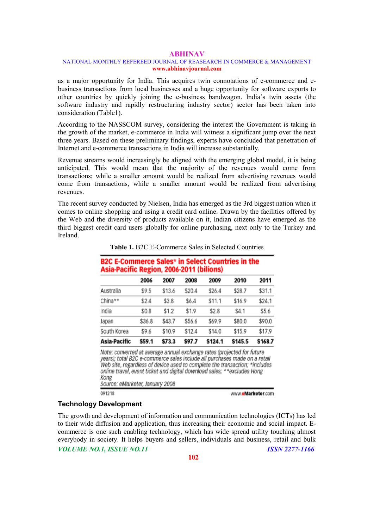#### NATIONAL MONTHLY REFEREED JOURNAL OF REASEARCH IN COMMERCE & MANAGEMENT **www.abhinavjournal.com**

as a major opportunity for India. This acquires twin connotations of e-commerce and ebusiness transactions from local businesses and a huge opportunity for software exports to other countries by quickly joining the e-business bandwagon. India's twin assets (the software industry and rapidly restructuring industry sector) sector has been taken into consideration (Table1).

According to the NASSCOM survey, considering the interest the Government is taking in the growth of the market, e-commerce in India will witness a significant jump over the next three years. Based on these preliminary findings, experts have concluded that penetration of Internet and e-commerce transactions in India will increase substantially.

Revenue streams would increasingly be aligned with the emerging global model, it is being anticipated. This would mean that the majority of the revenues would come from transactions; while a smaller amount would be realized from advertising revenues would come from transactions, while a smaller amount would be realized from advertising revenues.

The recent survey conducted by Nielsen, India has emerged as the 3rd biggest nation when it comes to online shopping and using a credit card online. Drawn by the facilities offered by the Web and the diversity of products available on it, Indian citizens have emerged as the third biggest credit card users globally for online purchasing, next only to the Turkey and Ireland.

| ASIA-PACITIC REGION, ZUU6-ZUTT (DIIIONS) |        |        |        |         |         |         |
|------------------------------------------|--------|--------|--------|---------|---------|---------|
|                                          | 2006   | 2007   | 2008   | 2009    | 2010    | 2011    |
| Australia                                | \$9.5  | \$13.6 | \$20.4 | \$26.4  | \$28.7  | \$31.1  |
| China**                                  | \$2.4  | \$3.8  | \$6.4  | \$11.1  | \$16.9  | \$24.1  |
| India                                    | \$0.8  | \$1.2  | \$1.9  | \$2.8   | \$4.1   | \$5.6   |
| Japan                                    | \$36.8 | \$43.7 | \$56.6 | \$69.9  | \$80.0  | \$90.0  |
| South Korea                              | \$9.6  | \$10.9 | \$12.4 | \$14.0  | \$15.9  | \$17.9  |
| Asia-Pacific                             | \$59.1 | \$73.3 | \$97.7 | \$124.1 | \$145.5 | \$168.7 |

**Table 1.** B2C E-Commerce Sales in Selected Countries

B2C E-Commerce Sales\* in Select Countries in the

Note: converted at average annual exchange rates (projected for future vears); total B2C e-commerce sales include all purchases made on a retail Web site, regardless of device used to complete the transaction; \*includes online travel, event ticket and digital download sales; \*\*excludes Hong Kong Source: eMarketer, January 2008

091218

www.eMarketer.com

## **Technology Development**

*VOLUME NO.1, ISSUE NO.11 ISSN 2277-1166* The growth and development of information and communication technologies (ICTs) has led to their wide diffusion and application, thus increasing their economic and social impact. Ecommerce is one such enabling technology, which has wide spread utility touching almost everybody in society. It helps buyers and sellers, individuals and business, retail and bulk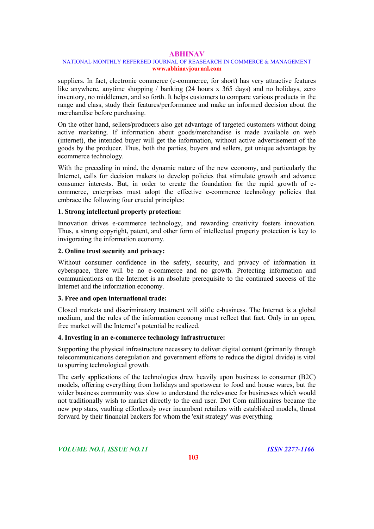#### NATIONAL MONTHLY REFEREED JOURNAL OF REASEARCH IN COMMERCE & MANAGEMENT **www.abhinavjournal.com**

suppliers. In fact, electronic commerce (e-commerce, for short) has very attractive features like anywhere, anytime shopping / banking (24 hours x 365 days) and no holidays, zero inventory, no middlemen, and so forth. It helps customers to compare various products in the range and class, study their features/performance and make an informed decision about the merchandise before purchasing.

On the other hand, sellers/producers also get advantage of targeted customers without doing active marketing. If information about goods/merchandise is made available on web (internet), the intended buyer will get the information, without active advertisement of the goods by the producer. Thus, both the parties, buyers and sellers, get unique advantages by ecommerce technology.

With the preceding in mind, the dynamic nature of the new economy, and particularly the Internet, calls for decision makers to develop policies that stimulate growth and advance consumer interests. But, in order to create the foundation for the rapid growth of ecommerce, enterprises must adopt the effective e-commerce technology policies that embrace the following four crucial principles:

#### **1. Strong intellectual property protection:**

Innovation drives e-commerce technology, and rewarding creativity fosters innovation. Thus, a strong copyright, patent, and other form of intellectual property protection is key to invigorating the information economy.

# **2. Online trust security and privacy:**

Without consumer confidence in the safety, security, and privacy of information in cyberspace, there will be no e-commerce and no growth. Protecting information and communications on the Internet is an absolute prerequisite to the continued success of the Internet and the information economy.

## **3. Free and open international trade:**

Closed markets and discriminatory treatment will stifle e-business. The Internet is a global medium, and the rules of the information economy must reflect that fact. Only in an open, free market will the Internet's potential be realized.

# **4. Investing in an e-commerce technology infrastructure:**

Supporting the physical infrastructure necessary to deliver digital content (primarily through telecommunications deregulation and government efforts to reduce the digital divide) is vital to spurring technological growth.

The early applications of the technologies drew heavily upon business to consumer (B2C) models, offering everything from holidays and sportswear to food and house wares, but the wider business community was slow to understand the relevance for businesses which would not traditionally wish to market directly to the end user. Dot Com millionaires became the new pop stars, vaulting effortlessly over incumbent retailers with established models, thrust forward by their financial backers for whom the 'exit strategy' was everything.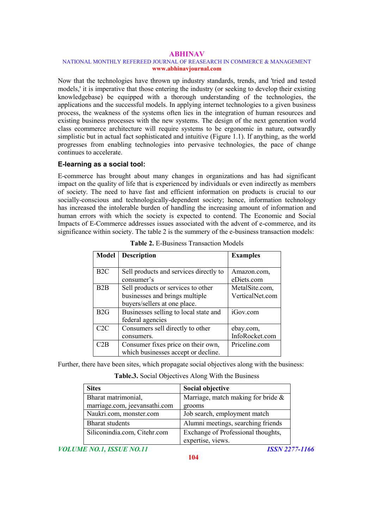#### NATIONAL MONTHLY REFEREED JOURNAL OF REASEARCH IN COMMERCE & MANAGEMENT **www.abhinavjournal.com**

Now that the technologies have thrown up industry standards, trends, and 'tried and tested models,' it is imperative that those entering the industry (or seeking to develop their existing knowledgebase) be equipped with a thorough understanding of the technologies, the applications and the successful models. In applying internet technologies to a given business process, the weakness of the systems often lies in the integration of human resources and existing business processes with the new systems. The design of the next generation world class ecommerce architecture will require systems to be ergonomic in nature, outwardly simplistic but in actual fact sophisticated and intuitive (Figure 1.1). If anything, as the world progresses from enabling technologies into pervasive technologies, the pace of change continues to accelerate.

# **E-learning as a social tool:**

E-commerce has brought about many changes in organizations and has had significant impact on the quality of life that is experienced by individuals or even indirectly as members of society. The need to have fast and efficient information on products is crucial to our socially-conscious and technologically-dependent society; hence, information technology has increased the intolerable burden of handling the increasing amount of information and human errors with which the society is expected to contend. The Economic and Social Impacts of E-Commerce addresses issues associated with the advent of e-commerce, and its significance within society. The table 2 is the summery of the e-business transaction models:

| <b>Model</b>     | <b>Description</b>                                                                                   | <b>Examples</b>                   |
|------------------|------------------------------------------------------------------------------------------------------|-----------------------------------|
| B <sub>2C</sub>  | Sell products and services directly to<br>consumer's                                                 | Amazon.com,<br>eDiets.com         |
| B <sub>2</sub> B | Sell products or services to other<br>businesses and brings multiple<br>buyers/sellers at one place. | MetalSite.com,<br>VerticalNet.com |
| B2G              | Businesses selling to local state and<br>federal agencies                                            | <i>iGov.com</i>                   |
| C2C              | Consumers sell directly to other<br>consumers.                                                       | ebay.com,<br>InfoRocket.com       |
| C <sub>2</sub> B | Consumer fixes price on their own,<br>which businesses accept or decline.                            | Priceline.com                     |

**Table 2.** E-Business Transaction Models

Further, there have been sites, which propagate social objectives along with the business:

| Table.3. Social Objectives Along With the Business |  |  |  |
|----------------------------------------------------|--|--|--|
|----------------------------------------------------|--|--|--|

| <b>Sites</b>                  | Social objective                   |  |  |
|-------------------------------|------------------------------------|--|--|
| Bharat matrimonial,           | Marriage, match making for bride & |  |  |
| marriage.com, jeevansathi.com | grooms                             |  |  |
| Naukri.com, monster.com       | Job search, employment match       |  |  |
| <b>Bharat students</b>        | Alumni meetings, searching friends |  |  |
| Siliconindia.com, Citehr.com  | Exchange of Professional thoughts, |  |  |
|                               | expertise, views.                  |  |  |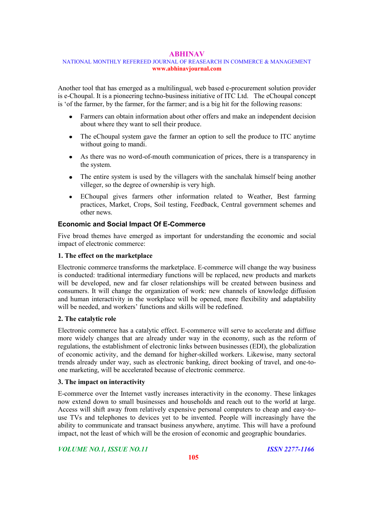## NATIONAL MONTHLY REFEREED JOURNAL OF REASEARCH IN COMMERCE & MANAGEMENT **www.abhinavjournal.com**

Another tool that has emerged as a multilingual, web based e-procurement solution provider is e-Choupal. It is a pioneering techno-business initiative of ITC Ltd. The eChoupal concept is 'of the farmer, by the farmer, for the farmer; and is a big hit for the following reasons:

- Farmers can obtain information about other offers and make an independent decision about where they want to sell their produce.
- The eChoupal system gave the farmer an option to sell the produce to ITC anytime  $\bullet$ without going to mandi.
- As there was no word-of-mouth communication of prices, there is a transparency in  $\bullet$ the system.
- The entire system is used by the villagers with the sanchalak himself being another villeger, so the degree of ownership is very high.
- EChoupal gives farmers other information related to Weather, Best farming practices, Market, Crops, Soil testing, Feedback, Central government schemes and other news.

# **Economic and Social Impact Of E-Commerce**

Five broad themes have emerged as important for understanding the economic and social impact of electronic commerce:

## **1. The effect on the marketplace**

Electronic commerce transforms the marketplace. E-commerce will change the way business is conducted: traditional intermediary functions will be replaced, new products and markets will be developed, new and far closer relationships will be created between business and consumers. It will change the organization of work: new channels of knowledge diffusion and human interactivity in the workplace will be opened, more flexibility and adaptability will be needed, and workers' functions and skills will be redefined.

## **2. The catalytic role**

Electronic commerce has a catalytic effect. E-commerce will serve to accelerate and diffuse more widely changes that are already under way in the economy, such as the reform of regulations, the establishment of electronic links between businesses (EDI), the globalization of economic activity, and the demand for higher-skilled workers. Likewise, many sectoral trends already under way, such as electronic banking, direct booking of travel, and one-toone marketing, will be accelerated because of electronic commerce.

#### **3. The impact on interactivity**

E-commerce over the Internet vastly increases interactivity in the economy. These linkages now extend down to small businesses and households and reach out to the world at large. Access will shift away from relatively expensive personal computers to cheap and easy-touse TVs and telephones to devices yet to be invented. People will increasingly have the ability to communicate and transact business anywhere, anytime. This will have a profound impact, not the least of which will be the erosion of economic and geographic boundaries.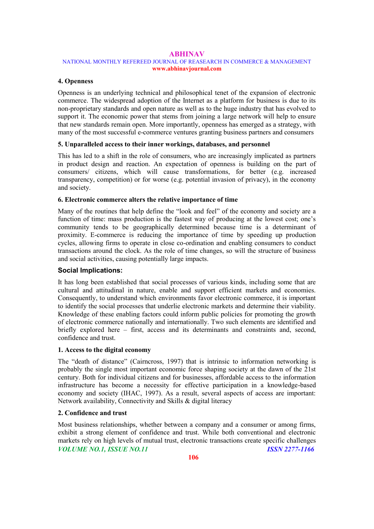## NATIONAL MONTHLY REFEREED JOURNAL OF REASEARCH IN COMMERCE & MANAGEMENT **www.abhinavjournal.com**

## **4. Openness**

Openness is an underlying technical and philosophical tenet of the expansion of electronic commerce. The widespread adoption of the Internet as a platform for business is due to its non-proprietary standards and open nature as well as to the huge industry that has evolved to support it. The economic power that stems from joining a large network will help to ensure that new standards remain open. More importantly, openness has emerged as a strategy, with many of the most successful e-commerce ventures granting business partners and consumers

## **5. Unparalleled access to their inner workings, databases, and personnel**

This has led to a shift in the role of consumers, who are increasingly implicated as partners in product design and reaction. An expectation of openness is building on the part of consumers/ citizens, which will cause transformations, for better (e.g. increased transparency, competition) or for worse (e.g. potential invasion of privacy), in the economy and society.

## **6. Electronic commerce alters the relative importance of time**

Many of the routines that help define the "look and feel" of the economy and society are a function of time: mass production is the fastest way of producing at the lowest cost; one's community tends to be geographically determined because time is a determinant of proximity. E-commerce is reducing the importance of time by speeding up production cycles, allowing firms to operate in close co-ordination and enabling consumers to conduct transactions around the clock. As the role of time changes, so will the structure of business and social activities, causing potentially large impacts.

# **Social Implications:**

It has long been established that social processes of various kinds, including some that are cultural and attitudinal in nature, enable and support efficient markets and economies. Consequently, to understand which environments favor electronic commerce, it is important to identify the social processes that underlie electronic markets and determine their viability. Knowledge of these enabling factors could inform public policies for promoting the growth of electronic commerce nationally and internationally. Two such elements are identified and briefly explored here – first, access and its determinants and constraints and, second, confidence and trust.

# **1. Access to the digital economy**

The "death of distance" (Cairncross, 1997) that is intrinsic to information networking is probably the single most important economic force shaping society at the dawn of the 21st century. Both for individual citizens and for businesses, affordable access to the information infrastructure has become a necessity for effective participation in a knowledge-based economy and society (IHAC, 1997). As a result, several aspects of access are important: Network availability, Connectivity and Skills & digital literacy

# **2. Confidence and trust**

*VOLUME NO.1, ISSUE NO.11 ISSN 2277-1166* Most business relationships, whether between a company and a consumer or among firms, exhibit a strong element of confidence and trust. While both conventional and electronic markets rely on high levels of mutual trust, electronic transactions create specific challenges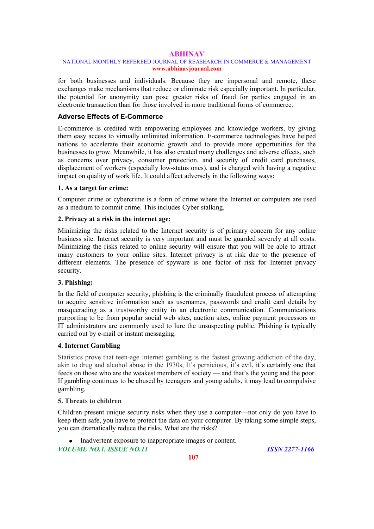#### NATIONAL MONTHLY REFEREED JOURNAL OF REASEARCH IN COMMERCE & MANAGEMENT **www.abhinavjournal.com**

for both businesses and individuals. Because they are impersonal and remote, these exchanges make mechanisms that reduce or eliminate risk especially important. In particular, the potential for anonymity can pose greater risks of fraud for parties engaged in an electronic transaction than for those involved in more traditional forms of commerce.

# **Adverse Effects of E-Commerce**

E-commerce is credited with empowering employees and knowledge workers, by giving them easy access to virtually unlimited information. E-commerce technologies have helped nations to accelerate their economic growth and to provide more opportunities for the businesses to grow. Meanwhile, it has also created many challenges and adverse effects, such as concerns over privacy, consumer protection, and security of credit card purchases, displacement of workers (especially low-status ones), and is charged with having a negative impact on quality of work life. It could affect adversely in the following ways:

## **1. As a target for crime:**

Computer crime or cybercrime is a form of crime where the [Internet](http://en.wikipedia.org/wiki/Internet) or [computers](http://en.wikipedia.org/wiki/Computer) are used as a medium to commit crime. This includes Cyber stalking.

# **2. Privacy at a risk in the internet age:**

Minimizing the risks related to the Internet security is of primary concern for any online business site. Internet security is very important and must be guarded severely at all costs. Minimizing the risks related to online security will ensure that you will be able to attract many customers to your online sites. Internet privacy is at risk due to the presence of different elements. The presence of spyware is one factor of risk for Internet privacy security.

## **3. Phishing:**

In the field of [computer security,](http://en.wikipedia.org/wiki/Computer_security) phishing is the [criminally](http://en.wikipedia.org/wiki/Criminal) [fraudulent](http://en.wikipedia.org/wiki/Fraud) process of attempting to acquire sensitive information such as usernames, [passwords](http://en.wikipedia.org/wiki/Password) and credit card details by masquerading as a trustworthy entity in an electronic communication. Communications purporting to be from popular social web sites, auction sites, online payment processors or IT administrators are commonly used to lure the unsuspecting public. Phishing is typically carried out by [e-mail](http://en.wikipedia.org/wiki/E-mail) o[r instant messaging.](http://en.wikipedia.org/wiki/Instant_messaging)

#### **4. Internet Gambling**

Statistics prove that teen-age Internet gambling is the fastest growing addiction of the day, akin to drug and alcohol abuse in the 1930s, It's pernicious, it's evil, it's certainly one that feeds on those who are the weakest members of society — and that's the young and the poor. If gambling continues to be abused by teenagers and young adults, it may lead to compulsive gambling.

## **5. Threats to children**

Children present unique security risks when they use a computer—not only do you have to keep them safe, you have to protect the data on your computer. By taking some simple steps, you can dramatically reduce the risks. What are the risks?

• Inadvertent exposure to inappropriate images or content.

*VOLUME NO.1, ISSUE NO.11 ISSN 2277-1166*

**107**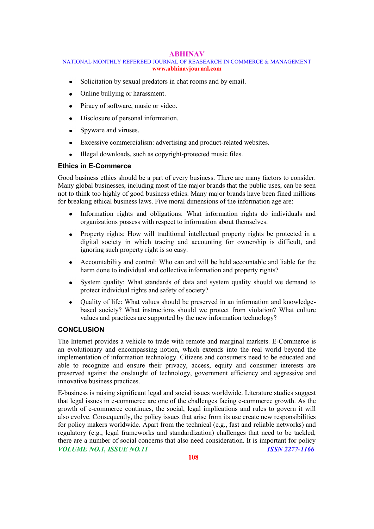## NATIONAL MONTHLY REFEREED JOURNAL OF REASEARCH IN COMMERCE & MANAGEMENT **www.abhinavjournal.com**

- Solicitation by sexual predators in [chat rooms](http://www.getsafeonline.org/nqcontent.cfm?a_name=glossary_1&letter=C#term_179) and by email.  $\bullet$
- Online bullying or harassment.
- [Piracy](http://www.getsafeonline.org/nqcontent.cfm?a_name=glossary_1&letter=P#term_280) of software, music or video.
- Disclosure of personal information.
- [Spyware](http://www.getsafeonline.org/nqcontent.cfm?a_name=glossary_1&letter=S#term_312) and [viruses.](http://www.getsafeonline.org/nqcontent.cfm?a_name=glossary_1&letter=V#term_329)
- Excessive commercialism: advertising and product-related websites.
- Illegal [downloads,](http://www.getsafeonline.org/nqcontent.cfm?a_name=glossary_1&letter=D#term_198) such as copyright-protected music files.  $\bullet$

# **Ethics in E-Commerce**

Good business ethics should be a part of every business. There are many factors to consider. Many global businesses, including most of the major brands that the public uses, can be seen not to think too highly of good business ethics. Many major brands have been fined millions for breaking ethical business laws. Five moral dimensions of the information age are:

- Information rights and obligations: What information rights do individuals and organizations possess with respect to information about themselves.
- Property rights: How will traditional intellectual property rights be protected in a digital society in which tracing and accounting for ownership is difficult, and ignoring such property right is so easy.
- Accountability and control: Who can and will be held accountable and liable for the harm done to individual and collective information and property rights?
- System quality: What standards of data and system quality should we demand to protect individual rights and safety of society?
- Quality of life: What values should be preserved in an information and knowledgebased society? What instructions should we protect from violation? What culture values and practices are supported by the new information technology?

# **CONCLUSION**

The Internet provides a vehicle to trade with remote and marginal markets. E-Commerce is an evolutionary and encompassing notion, which extends into the real world beyond the implementation of information technology. Citizens and consumers need to be educated and able to recognize and ensure their privacy, access, equity and consumer interests are preserved against the onslaught of technology, government efficiency and aggressive and innovative business practices.

*VOLUME NO.1, ISSUE NO.11 ISSN 2277-1166* E-business is raising significant legal and social issues worldwide. Literature studies suggest that legal issues in e-commerce are one of the challenges facing e-commerce growth. As the growth of e-commerce continues, the social, legal implications and rules to govern it will also evolve. Consequently, the policy issues that arise from its use create new responsibilities for policy makers worldwide. Apart from the technical (e.g., fast and reliable networks) and regulatory (e.g., legal frameworks and standardization) challenges that need to be tackled, there are a number of social concerns that also need consideration. It is important for policy